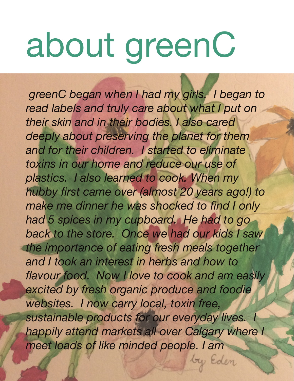## about greenC

 *greenC began when I had my girls. I began to*  read labels and truly care about what I put on *their skin and in their bodies. I also cared deeply about preserving the planet for them and for their children. I started to eliminate toxins in our home and reduce our use of plastics. I also learned to cook. When my hubby first came over (almost 20 years ago!) to make me dinner he was shocked to find I only had 5 spices in my cupboard. He had to go back to the store. Once we had our kids I saw the importance of eating fresh meals together and I took an interest in herbs and how to flavour food. Now I love to cook and am easily excited by fresh organic produce and foodie websites. I now carry local, toxin free, sustainable products for our everyday lives. I happily attend markets all over Calgary where I meet loads of like minded people. I am* 

by Eden